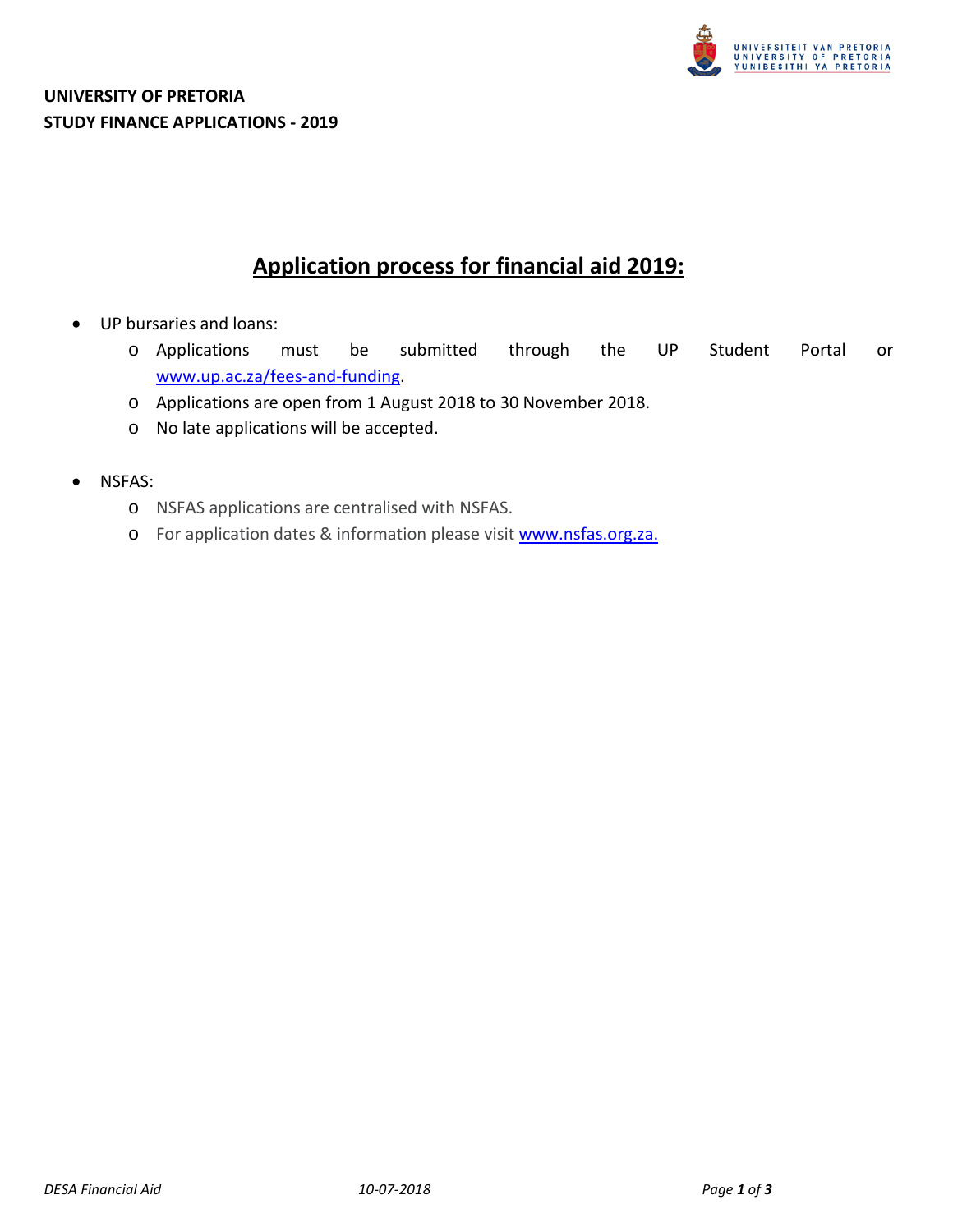

# **Application process for financial aid 2019:**

- UP bursaries and loans:
	- o Applications must be submitted through the UP Student Portal or [www.up.ac.za/fees-and-funding.](http://www.up.ac.za/fees-and-funding)
	- o Applications are open from 1 August 2018 to 30 November 2018.
	- o No late applications will be accepted.
- NSFAS:
	- o NSFAS applications are centralised with NSFAS.
	- o For application dates & information please visit [www.nsfas.org.za.](http://www.nsfas.org.za/)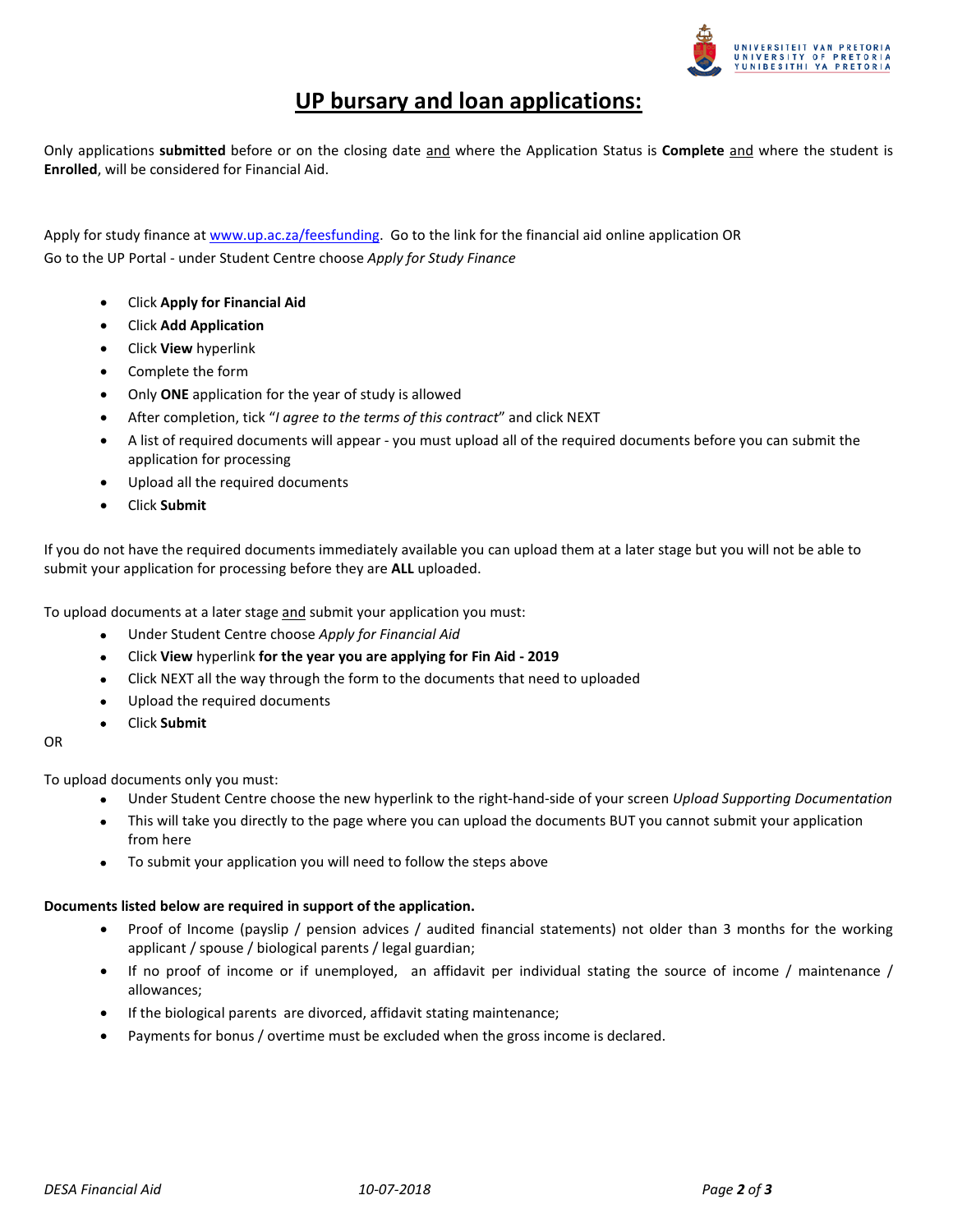

# **UP bursary and loan applications:**

Only applications **submitted** before or on the closing date and where the Application Status is **Complete** and where the student is **Enrolled**, will be considered for Financial Aid.

Apply for study finance at [www.up.ac.za/feesfunding.](http://www.up.ac.za/feesfunding) Go to the link for the financial aid online application OR Go to the UP Portal - under Student Centre choose *Apply for Study Finance* 

- Click **Apply for Financial Aid**
- Click **Add Application**
- Click **View** hyperlink
- Complete the form
- Only **ONE** application for the year of study is allowed
- After completion, tick "*I agree to the terms of this contract*" and click NEXT
- A list of required documents will appear you must upload all of the required documents before you can submit the application for processing
- Upload all the required documents
- Click **Submit**

If you do not have the required documents immediately available you can upload them at a later stage but you will not be able to submit your application for processing before they are **ALL** uploaded.

To upload documents at a later stage and submit your application you must:

- Under Student Centre choose *Apply for Financial Aid*
- Click **View** hyperlink **for the year you are applying for Fin Aid - 2019**
- Click NEXT all the way through the form to the documents that need to uploaded
- Upload the required documents
- Click **Submit**

# OR

To upload documents only you must:

- Under Student Centre choose the new hyperlink to the right-hand-side of your screen *Upload Supporting Documentation*
- This will take you directly to the page where you can upload the documents BUT you cannot submit your application from here
- To submit your application you will need to follow the steps above

# **Documents listed below are required in support of the application.**

- Proof of Income (payslip / pension advices / audited financial statements) not older than 3 months for the working applicant / spouse / biological parents / legal guardian;
- If no proof of income or if unemployed, an affidavit per individual stating the source of income / maintenance / allowances;
- If the biological parents are divorced, affidavit stating maintenance;
- Payments for bonus / overtime must be excluded when the gross income is declared.